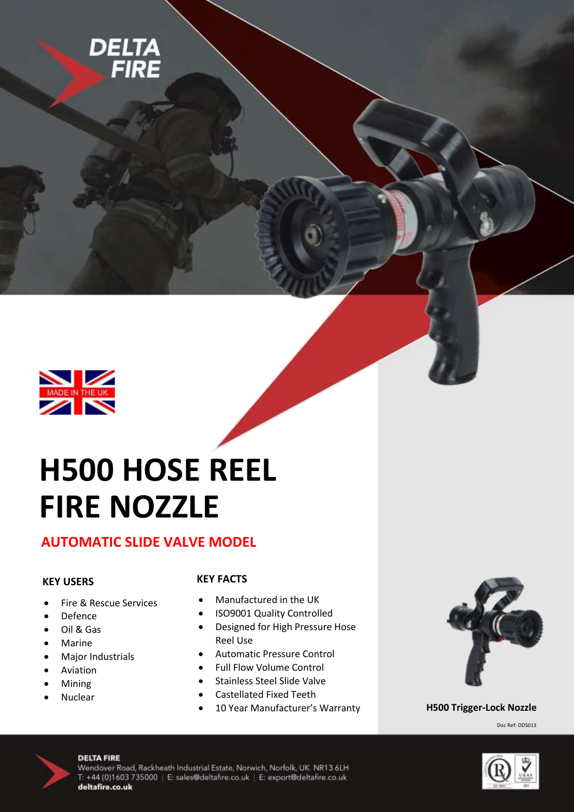



# **H500 HOSE REEL FIRE NOZZLE**

### **AUTOMATIC SLIDE VALVE MODEL**

#### **KEY USERS**

- **•** Fire & Rescue Services
- Defence
- Oil & Gas
- Marine
- Major Industrials
- Aviation
- Mining
- Nuclear

#### **KEY FACTS**

- Manufactured in the UK
- ISO9001 Quality Controlled
- Designed for High Pressure Hose Reel Use
- Automatic Pressure Control
- Full Flow Volume Control
- Stainless Steel Slide Valve
- Castellated Fixed Teeth
- 10 Year Manufacturer's Warranty



 **H500 Trigger-Lock Nozzle**

Doc Ref: DDS013



#### **DELTA FIRE**

Wendover Road, Rackheath Industrial Estate, Norwich, Norfolk, UK NR13 6LH T: +44 (0)1603 735000 | E: sales@deltafire.co.uk | E: export@deltafire.co.uk deltafire.co.uk

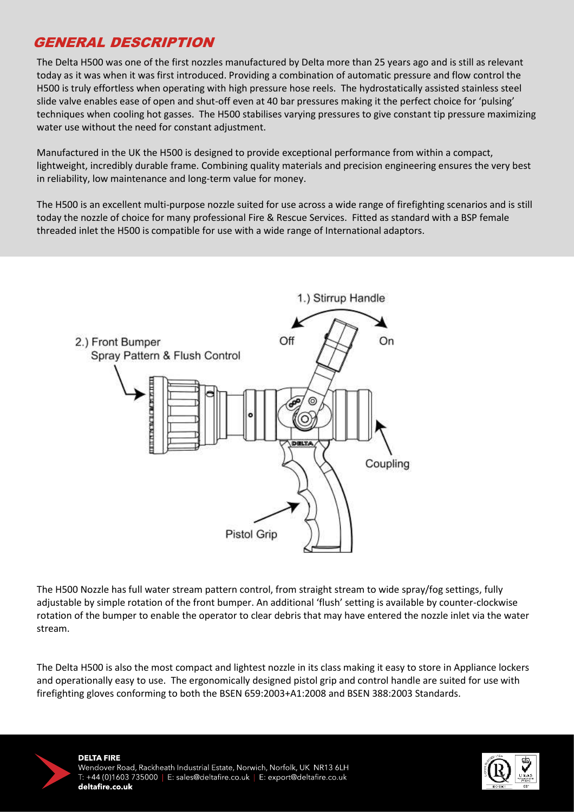## GENERAL DESCRIPTION

The Delta H500 was one of the first nozzles manufactured by Delta more than 25 years ago and is still as relevant today as it was when it was first introduced. Providing a combination of automatic pressure and flow control the H500 is truly effortless when operating with high pressure hose reels. The hydrostatically assisted stainless steel slide valve enables ease of open and shut-off even at 40 bar pressures making it the perfect choice for 'pulsing' techniques when cooling hot gasses. The H500 stabilises varying pressures to give constant tip pressure maximizing water use without the need for constant adjustment.

Manufactured in the UK the H500 is designed to provide exceptional performance from within a compact, lightweight, incredibly durable frame. Combining quality materials and precision engineering ensures the very best in reliability, low maintenance and long-term value for money.

The H500 is an excellent multi-purpose nozzle suited for use across a wide range of firefighting scenarios and is still today the nozzle of choice for many professional Fire & Rescue Services. Fitted as standard with a BSP female threaded inlet the H500 is compatible for use with a wide range of International adaptors.



 The H500 Nozzle has full water stream pattern control, from straight stream to wide spray/fog settings, fully adjustable by simple rotation of the front bumper. An additional 'flush' setting is available by counter-clockwise rotation of the bumper to enable the operator to clear debris that may have entered the nozzle inlet via the water stream.

The Delta H500 is also the most compact and lightest nozzle in its class making it easy to store in Appliance lockers and operationally easy to use. The ergonomically designed pistol grip and control handle are suited for use with firefighting gloves conforming to both the BSEN 659:2003+A1:2008 and BSEN 388:2003 Standards.



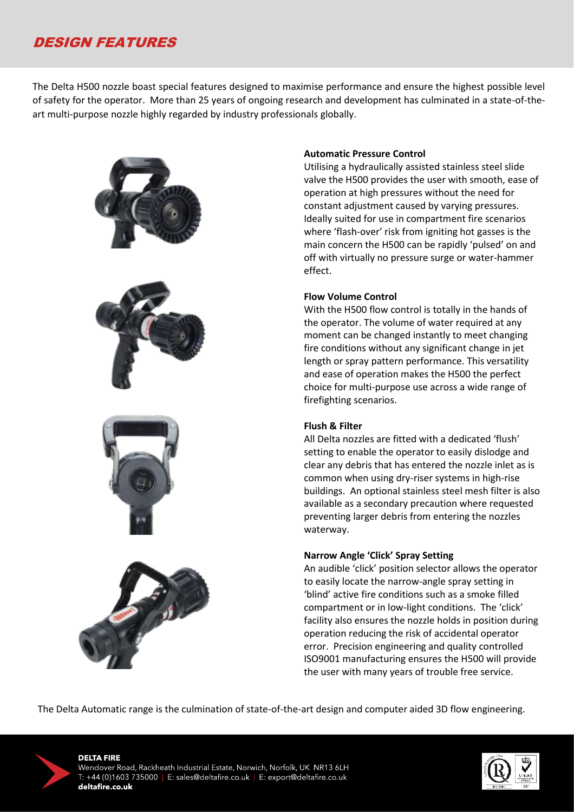## DESIGN FEATURES

The Delta H500 nozzle boast special features designed to maximise performance and ensure the highest possible level of safety for the operator. More than 25 years of ongoing research and development has culminated in a state-of-theart multi-purpose nozzle highly regarded by industry professionals globally.



#### **Automatic Pressure Control**

Utilising a hydraulically assisted stainless steel slide valve the H500 provides the user with smooth, ease of operation at high pressures without the need for constant adjustment caused by varying pressures. Ideally suited for use in compartment fire scenarios where 'flash-over' risk from igniting hot gasses is the main concern the H500 can be rapidly 'pulsed' on and off with virtually no pressure surge or water-hammer effect.

#### **Flow Volume Control**

With the H500 flow control is totally in the hands of the operator. The volume of water required at any moment can be changed instantly to meet changing fire conditions without any significant change in jet length or spray pattern performance. This versatility and ease of operation makes the H500 the perfect choice for multi-purpose use across a wide range of firefighting scenarios.

#### **Flush & Filter**

All Delta nozzles are fitted with a dedicated 'flush' setting to enable the operator to easily dislodge and clear any debris that has entered the nozzle inlet as is common when using dry-riser systems in high-rise buildings. An optional stainless steel mesh filter is also available as a secondary precaution where requested preventing larger debris from entering the nozzles waterway.

#### **Narrow Angle 'Click' Spray Setting**

An audible 'click' position selector allows the operator to easily locate the narrow-angle spray setting in 'blind' active fire conditions such as a smoke filled compartment or in low-light conditions. The 'click' facility also ensures the nozzle holds in position during operation reducing the risk of accidental operator error. Precision engineering and quality controlled ISO9001 manufacturing ensures the H500 will provide the user with many years of trouble free service.

The Delta Automatic range is the culmination of state-of-the-art design and computer aided 3D flow engineering.